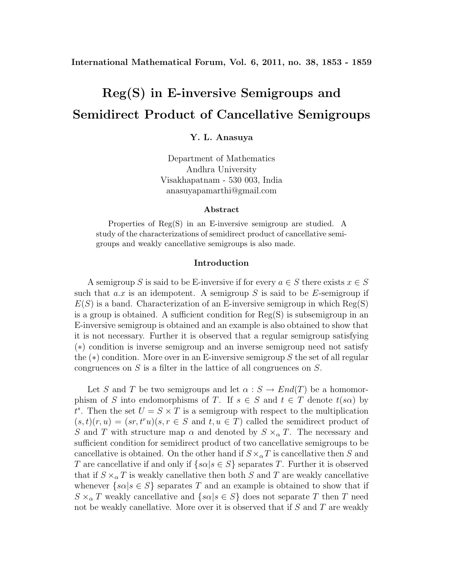**International Mathematical Forum, Vol. 6, 2011, no. 38, 1853 - 1859**

# **Reg(S) in E-inversive Semigroups and Semidirect Product of Cancellative Semigroups**

**Y. L. Anasuya**

Department of Mathematics Andhra University Visakhapatnam - 530 003, India anasuyapamarthi@gmail.com

#### **Abstract**

Properties of Reg(S) in an E-inversive semigroup are studied. A study of the characterizations of semidirect product of cancellative semigroups and weakly cancellative semigroups is also made.

### **Introduction**

A semigroup S is said to be E-inversive if for every  $a \in S$  there exists  $x \in S$ such that  $a.x$  is an idempotent. A semigroup S is said to be E-semigroup if  $E(S)$  is a band. Characterization of an E-inversive semigroup in which  $Reg(S)$ is a group is obtained. A sufficient condition for  $Reg(S)$  is subsemigroup in an E-inversive semigroup is obtained and an example is also obtained to show that it is not necessary. Further it is observed that a regular semigroup satisfying (∗) condition is inverse semigroup and an inverse semigroup need not satisfy the  $(*)$  condition. More over in an E-inversive semigroup S the set of all regular congruences on S is a filter in the lattice of all congruences on S.

Let S and T be two semigroups and let  $\alpha : S \to End(T)$  be a homomorphism of S into endomorphisms of T. If  $s \in S$  and  $t \in T$  denote  $t(s\alpha)$  by  $t^s$ . Then the set  $U = S \times T$  is a semigroup with respect to the multiplication  $(s, t)(r, u) = (sr, t^r u)(s, r \in S \text{ and } t, u \in T)$  called the semidirect product of S and T with structure map  $\alpha$  and denoted by  $S \times_{\alpha} T$ . The necessary and sufficient condition for semidirect product of two cancellative semigroups to be cancellative is obtained. On the other hand if  $S \times_{\alpha} T$  is cancellative then S and T are cancellative if and only if  $\{s\alpha | s \in S\}$  separates T. Further it is observed that if  $S \times_{\alpha} T$  is weakly canellative then both S and T are weakly cancellative whenever  $\{s\alpha | s \in S\}$  separates T and an example is obtained to show that if  $S \times_{\alpha} T$  weakly cancellative and  $\{s\alpha | s \in S\}$  does not separate T then T need not be weakly canellative. More over it is observed that if  $S$  and  $T$  are weakly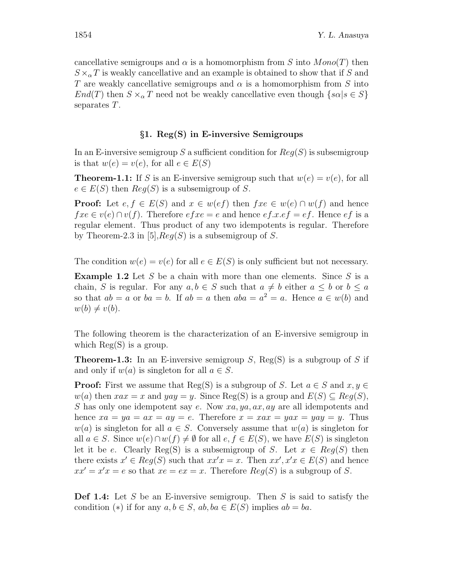cancellative semigroups and  $\alpha$  is a homomorphism from S into  $Mono(T)$  then  $S \times_{\alpha} T$  is weakly cancellative and an example is obtained to show that if S and T are weakly cancellative semigroups and  $\alpha$  is a homomorphism from S into  $End(T)$  then  $S \times_{\alpha} T$  need not be weakly cancellative even though  $\{s\alpha | s \in S\}$ separates T.

## *§***1. Reg(S) in E-inversive Semigroups**

In an E-inversive semigroup S a sufficient condition for  $\text{Re} q(S)$  is subsemigroup is that  $w(e) = v(e)$ , for all  $e \in E(S)$ 

**Theorem-1.1:** If S is an E-inversive semigroup such that  $w(e) = v(e)$ , for all  $e \in E(S)$  then  $Reg(S)$  is a subsemigroup of S.

**Proof:** Let  $e, f \in E(S)$  and  $x \in w(ef)$  then  $fxe \in w(e) \cap w(f)$  and hence  $fxe \in v(e) \cap v(f)$ . Therefore  $efxe = e$  and hence  $ef.x.ef = ef$ . Hence  $ef$  is a regular element. Thus product of any two idempotents is regular. Therefore by Theorem-2.3 in [5],  $Reg(S)$  is a subsemigroup of S.

The condition  $w(e) = v(e)$  for all  $e \in E(S)$  is only sufficient but not necessary.

**Example 1.2** Let S be a chain with more than one elements. Since S is a chain, S is regular. For any  $a, b \in S$  such that  $a \neq b$  either  $a \leq b$  or  $b \leq a$ so that  $ab = a$  or  $ba = b$ . If  $ab = a$  then  $aba = a^2 = a$ . Hence  $a \in w(b)$  and  $w(b) \neq v(b)$ .

The following theorem is the characterization of an E-inversive semigroup in which  $Reg(S)$  is a group.

**Theorem-1.3:** In an E-inversive semigroup S,  $Reg(S)$  is a subgroup of S if and only if  $w(a)$  is singleton for all  $a \in S$ .

**Proof:** First we assume that Reg(S) is a subgroup of S. Let  $a \in S$  and  $x, y \in$  $w(a)$  then  $xax = x$  and  $yay = y$ . Since Reg(S) is a group and  $E(S) \subseteq Reg(S)$ , S has only one idempotent say e. Now xa, ya, ax, ay are all idempotents and hence  $xa = ya = ax = ay = e$ . Therefore  $x = xax = yax = yay = y$ . Thus  $w(a)$  is singleton for all  $a \in S$ . Conversely assume that  $w(a)$  is singleton for all  $a \in S$ . Since  $w(e) \cap w(f) \neq \emptyset$  for all  $e, f \in E(S)$ , we have  $E(S)$  is singleton let it be e. Clearly Reg(S) is a subsemigroup of S. Let  $x \in Reg(S)$  then there exists  $x' \in Reg(S)$  such that  $xx'x = x$ . Then  $xx', x'x \in E(S)$  and hence  $xx' = x'x = e$  so that  $xe = ex = x$ . Therefore  $Reg(S)$  is a subgroup of S.

**Def 1.4:** Let S be an E-inversive semigroup. Then S is said to satisfy the condition (\*) if for any  $a, b \in S$ ,  $ab, ba \in E(S)$  implies  $ab = ba$ .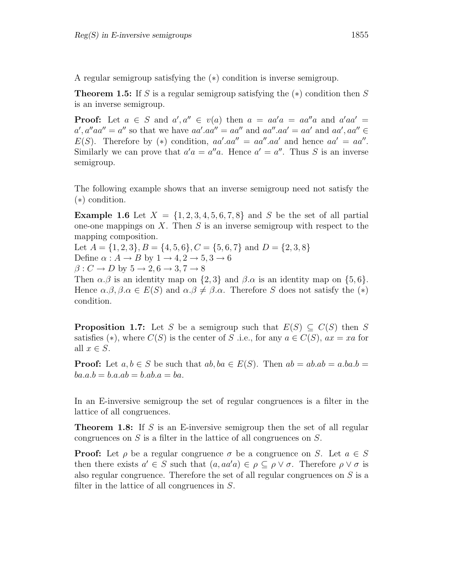A regular semigroup satisfying the (∗) condition is inverse semigroup.

**Theorem 1.5:** If S is a regular semigroup satisfying the (∗) condition then S is an inverse semigroup.

**Proof:** Let  $a \in S$  and  $a', a'' \in v(a)$  then  $a = aa'a = aa''a$  and  $a'aa' =$  $a', a''aa'' = a''$  so that we have  $aa'.aa'' = aa''$  and  $aa''.aa' = aa'$  and  $aa', aa'' \in$  $E(S)$ . Therefore by (\*) condition,  $aa'.aa'' = aa''.aa'$  and hence  $aa' = aa''.$ Similarly we can prove that  $a'a = a''a$ . Hence  $a' = a''$ . Thus S is an inverse semigroup.

The following example shows that an inverse semigroup need not satisfy the (∗) condition.

**Example 1.6** Let  $X = \{1, 2, 3, 4, 5, 6, 7, 8\}$  and S be the set of all partial one-one mappings on  $X$ . Then  $S$  is an inverse semigroup with respect to the mapping composition.

Let  $A = \{1, 2, 3\}, B = \{4, 5, 6\}, C = \{5, 6, 7\}$  and  $D = \{2, 3, 8\}$ Define  $\alpha: A \to B$  by  $1 \to 4, 2 \to 5, 3 \to 6$  $\beta: C \to D$  by  $5 \to 2, 6 \to 3, 7 \to 8$ 

Then  $\alpha.\beta$  is an identity map on  $\{2,3\}$  and  $\beta.\alpha$  is an identity map on  $\{5,6\}$ . Hence  $\alpha.\beta, \beta.\alpha \in E(S)$  and  $\alpha.\beta \neq \beta.\alpha$ . Therefore S does not satisfy the  $(*)$ condition.

**Proposition 1.7:** Let S be a semigroup such that  $E(S) \subseteq C(S)$  then S satisfies (\*), where  $C(S)$  is the center of S .i.e., for any  $a \in C(S)$ ,  $ax = xa$  for all  $x \in S$ .

**Proof:** Let  $a, b \in S$  be such that  $ab, ba \in E(S)$ . Then  $ab = ab$ . $ab = a$ . $ba = b$ .  $ba.a.b = b.a.ab = b.aba = ba.$ 

In an E-inversive semigroup the set of regular congruences is a filter in the lattice of all congruences.

**Theorem 1.8:** If S is an E-inversive semigroup then the set of all regular congruences on S is a filter in the lattice of all congruences on S.

**Proof:** Let  $\rho$  be a regular congruence  $\sigma$  be a congruence on S. Let  $a \in S$ then there exists  $a' \in S$  such that  $(a, aa'a) \in \rho \subseteq \rho \vee \sigma$ . Therefore  $\rho \vee \sigma$  is also regular congruence. Therefore the set of all regular congruences on S is a filter in the lattice of all congruences in S.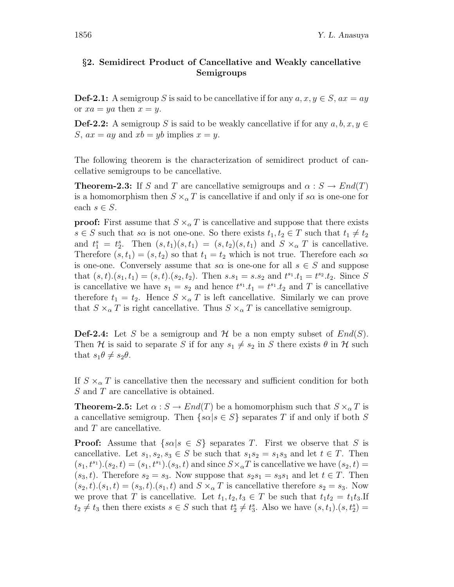## *§***2. Semidirect Product of Cancellative and Weakly cancellative Semigroups**

**Def-2.1:** A semigroup S is said to be cancellative if for any  $a, x, y \in S$ ,  $ax = ay$ or  $xa = ya$  then  $x = y$ .

**Def-2.2:** A semigroup S is said to be weakly cancellative if for any  $a, b, x, y \in$ S,  $ax = ay$  and  $xb = yb$  implies  $x = y$ .

The following theorem is the characterization of semidirect product of cancellative semigroups to be cancellative.

**Theorem-2.3:** If S and T are cancellative semigroups and  $\alpha : S \to End(T)$ is a homomorphism then  $S \times_{\alpha} T$  is cancellative if and only if s $\alpha$  is one-one for each  $s \in S$ .

**proof:** First assume that  $S \times_{\alpha} T$  is cancellative and suppose that there exists  $s \in S$  such that s $\alpha$  is not one-one. So there exists  $t_1, t_2 \in T$  such that  $t_1 \neq t_2$ and  $t_1^s = t_2^s$ . Then  $(s, t_1)(s, t_1) = (s, t_2)(s, t_1)$  and  $S \times_\alpha T$  is cancellative. Therefore  $(s, t_1)=(s, t_2)$  so that  $t_1 = t_2$  which is not true. Therefore each s $\alpha$ is one-one. Conversely assume that s $\alpha$  is one-one for all  $s \in S$  and suppose that  $(s, t) . (s_1, t_1) = (s, t) . (s_2, t_2)$ . Then  $s . s_1 = s . s_2$  and  $t^{s_1} . t_1 = t^{s_2} . t_2$ . Since S is cancellative we have  $s_1 = s_2$  and hence  $t^{s_1} \cdot t_1 = t^{s_1} \cdot t_2$  and T is cancellative therefore  $t_1 = t_2$ . Hence  $S \times_\alpha T$  is left cancellative. Similarly we can prove that  $S \times_{\alpha} T$  is right cancellative. Thus  $S \times_{\alpha} T$  is cancellative semigroup.

**Def-2.4:** Let S be a semigroup and  $H$  be a non empty subset of  $End(S)$ . Then H is said to separate S if for any  $s_1 \neq s_2$  in S there exists  $\theta$  in H such that  $s_1\theta \neq s_2\theta$ .

If  $S \times_{\alpha} T$  is cancellative then the necessary and sufficient condition for both S and T are cancellative is obtained.

**Theorem-2.5:** Let  $\alpha : S \to End(T)$  be a homomorphism such that  $S \times_{\alpha} T$  is a cancellative semigroup. Then  $\{\mathfrak{so} | \mathfrak{s} \in S\}$  separates T if and only if both S and T are cancellative.

**Proof:** Assume that  $\{s\alpha | s \in S\}$  separates T. First we observe that S is cancellative. Let  $s_1, s_2, s_3 \in S$  be such that  $s_1 s_2 = s_1 s_3$  and let  $t \in T$ . Then  $(s_1, t^{s_1})$ . $(s_2, t) = (s_1, t^{s_1})$ . $(s_3, t)$  and since  $S \times_{\alpha} T$  is cancellative we have  $(s_2, t) =$  $(s_3, t)$ . Therefore  $s_2 = s_3$ . Now suppose that  $s_2s_1 = s_3s_1$  and let  $t \in T$ . Then  $(s_2, t) \cdot (s_1, t) = (s_3, t) \cdot (s_1, t)$  and  $S \times_\alpha T$  is cancellative therefore  $s_2 = s_3$ . Now we prove that T is cancellative. Let  $t_1, t_2, t_3 \in T$  be such that  $t_1t_2 = t_1t_3$ . If  $t_2 \neq t_3$  then there exists  $s \in S$  such that  $t_2^s \neq t_3^s$ . Also we have  $(s, t_1) \cdot (s, t_2^s)$  =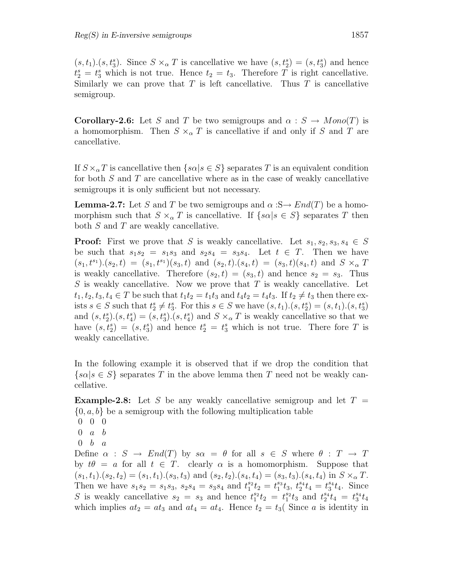$(s, t_1) \cdot (s, t_3^s)$ . Since  $S \times_\alpha T$  is cancellative we have  $(s, t_2^s) = (s, t_3^s)$  and hence  $t_2^s = t_3^s$  which is not true. Hence  $t_2 = t_3$ . Therefore T is right cancellative. Similarly we can prove that  $T$  is left cancellative. Thus  $T$  is cancellative semigroup.

**Corollary-2.6:** Let S and T be two semigroups and  $\alpha : S \to Mono(T)$  is a homomorphism. Then  $S \times_{\alpha} T$  is cancellative if and only if S and T are cancellative.

If  $S \times_{\alpha} T$  is cancellative then  $\{s\alpha | s \in S\}$  separates T is an equivalent condition for both  $S$  and  $T$  are cancellative where as in the case of weakly cancellative semigroups it is only sufficient but not necessary.

**Lemma-2.7:** Let S and T be two semigroups and  $\alpha : S \rightarrow End(T)$  be a homomorphism such that  $S \times_{\alpha} T$  is cancellative. If  $\{s\alpha | s \in S\}$  separates T then both  $S$  and  $T$  are weakly cancellative.

**Proof:** First we prove that S is weakly cancellative. Let  $s_1, s_2, s_3, s_4 \in S$ be such that  $s_1s_2 = s_1s_3$  and  $s_2s_4 = s_3s_4$ . Let  $t \in T$ . Then we have  $(s_1, t^{s_1}).(s_2, t)=(s_1, t^{s_1}) (s_3, t)$  and  $(s_2, t).(s_4, t)=(s_3, t)(s_4, t)$  and  $S \times_{\alpha} T$ is weakly cancellative. Therefore  $(s_2, t)=(s_3, t)$  and hence  $s_2 = s_3$ . Thus S is weakly cancellative. Now we prove that  $T$  is weakly cancellative. Let  $t_1, t_2, t_3, t_4 \in T$  be such that  $t_1 t_2 = t_1 t_3$  and  $t_4 t_2 = t_4 t_3$ . If  $t_2 \neq t_3$  then there exists  $s \in S$  such that  $t_2^s \neq t_3^s$ . For this  $s \in S$  we have  $(s, t_1) \cdot (s, t_2^s) = (s, t_1) \cdot (s, t_3^s)$ and  $(s, t_2^s) \cdot (s, t_4^s) = (s, t_3^s) \cdot (s, t_4^s)$  and  $S \times_\alpha T$  is weakly cancellative so that we have  $(s, t_2^s) = (s, t_3^s)$  and hence  $t_2^s = t_3^s$  which is not true. There fore T is weakly cancellative.

In the following example it is observed that if we drop the condition that  $\{\mathfrak{s}\alpha | \mathfrak{s} \in S\}$  separates T in the above lemma then T need not be weakly cancellative.

**Example-2.8:** Let S be any weakly cancellative semigroup and let  $T =$  $\{0, a, b\}$  be a semigroup with the following multiplication table

- 000
- $0 \quad a \quad b$
- $0 \quad b \quad a$

Define  $\alpha : S \to End(T)$  by  $s\alpha = \theta$  for all  $s \in S$  where  $\theta : T \to T$ by  $t\theta = a$  for all  $t \in T$ . clearly  $\alpha$  is a homomorphism. Suppose that  $(s_1, t_1) \cdot (s_2, t_2)=(s_1, t_1) \cdot (s_3, t_3)$  and  $(s_2, t_2) \cdot (s_4, t_4)=(s_3, t_3) \cdot (s_4, t_4)$  in  $S \times_{\alpha} T$ . Then we have  $s_1s_2 = s_1s_3$ ,  $s_2s_4 = s_3s_4$  and  $t_1^{s_2}t_2 = t_1^{s_3}t_3$ ,  $t_2^{s_4}t_4 = t_3^{s_4}t_4$ . Since S is weakly cancellative  $s_2 = s_3$  and hence  $t_1^{s_2} t_2 = t_1^{s_2} t_3$  and  $t_2^{s_4} t_4 = t_3^{s_4} t_4$ which implies  $at_2 = at_3$  and  $at_4 = at_4$ . Hence  $t_2 = t_3$  (Since a is identity in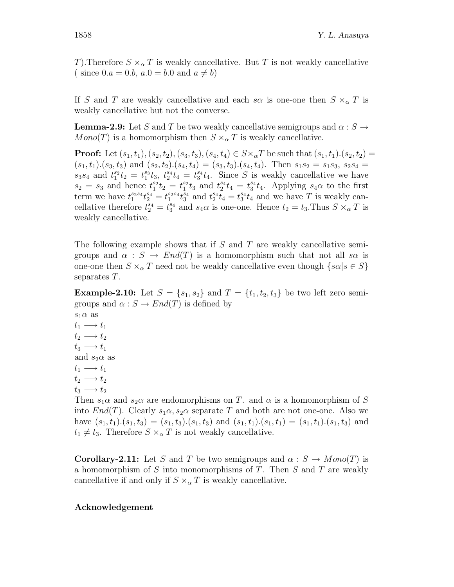T). Therefore  $S \times_{\alpha} T$  is weakly cancellative. But T is not weakly cancellative ( since  $0.a = 0.b, a.0 = b.0$  and  $a \neq b$ )

If S and T are weakly cancellative and each s $\alpha$  is one-one then  $S \times_{\alpha} T$  is weakly cancellative but not the converse.

**Lemma-2.9:** Let S and T be two weakly cancellative semigroups and  $\alpha : S \to$  $Mono(T)$  is a homomorphism then  $S \times_{\alpha} T$  is weakly cancellative.

**Proof:** Let  $(s_1, t_1), (s_2, t_2), (s_3, t_3), (s_4, t_4) \in S \times_{\alpha} T$  be such that  $(s_1, t_1). (s_2, t_2)$  $(s_1, t_1)$ . $(s_3, t_3)$  and  $(s_2, t_2)$ . $(s_4, t_4)=(s_3, t_3)$ . $(s_4, t_4)$ . Then  $s_1s_2 = s_1s_3$ ,  $s_2s_4 =$  $s_3s_4$  and  $t_1^{s_2}t_2 = t_1^{s_3}t_3$ ,  $t_2^{s_4}t_4 = t_3^{s_4}t_4$ . Since S is weakly cancellative we have  $s_2 = s_3$  and hence  $t_1^{s_2}t_2 = t_1^{s_2}t_3$  and  $t_2^{s_4}t_4 = t_3^{s_4}t_4$ . Applying  $s_4\alpha$  to the first term we have  $t_1^{s_2s_4}t_2^{s_4} = t_1^{s_2s_4}t_3^{s_4}$  and  $t_2^{s_4}t_4 = t_3^{s_4}t_4$  and we have T is weakly cancellative therefore  $t_2^s = t_3^{s_4}$  and  $s_4\alpha$  is one-one. Hence  $t_2 = t_3$ . Thus  $S \times_\alpha T$  is weakly cancellative.

The following example shows that if  $S$  and  $T$  are weakly cancellative semigroups and  $\alpha : S \to End(T)$  is a homomorphism such that not all s $\alpha$  is one-one then  $S \times_{\alpha} T$  need not be weakly cancellative even though  $\{s\alpha | s \in S\}$ separates T.

**Example-2.10:** Let  $S = \{s_1, s_2\}$  and  $T = \{t_1, t_2, t_3\}$  be two left zero semigroups and  $\alpha : S \to End(T)$  is defined by

 $s_1\alpha$  as  $t_1 \longrightarrow t_1$  $t_2 \longrightarrow t_2$  $t_3 \longrightarrow t_1$ and  $s_2\alpha$  as  $t_1 \longrightarrow t_1$  $t_2 \longrightarrow t_2$  $t_3 \longrightarrow t_2$ 

Then  $s_1\alpha$  and  $s_2\alpha$  are endomorphisms on T. and  $\alpha$  is a homomorphism of S into  $End(T)$ . Clearly  $s_1\alpha, s_2\alpha$  separate T and both are not one-one. Also we have  $(s_1, t_1) \cdot (s_1, t_3)=(s_1, t_3) \cdot (s_1, t_3)$  and  $(s_1, t_1) \cdot (s_1, t_1)=(s_1, t_1) \cdot (s_1, t_3)$  and  $t_1 \neq t_3$ . Therefore  $S \times_\alpha T$  is not weakly cancellative.

**Corollary-2.11:** Let S and T be two semigroups and  $\alpha : S \to \text{Monod}(T)$  is a homomorphism of S into monomorphisms of T. Then S and T are weakly cancellative if and only if  $S \times_{\alpha} T$  is weakly cancellative.

### **Acknowledgement**